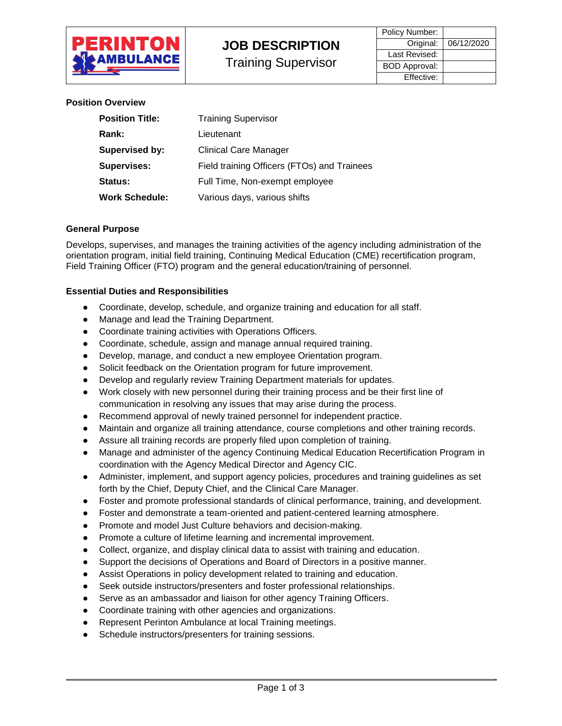

Training Supervisor

| Policy Number:       |            |
|----------------------|------------|
| Original:            | 06/12/2020 |
| Last Revised:        |            |
| <b>BOD Approval:</b> |            |
| Effective:           |            |

**Position Overview**

| <b>Position Title:</b> | <b>Training Supervisor</b>                  |  |
|------------------------|---------------------------------------------|--|
| Rank:                  | Lieutenant                                  |  |
| <b>Supervised by:</b>  | <b>Clinical Care Manager</b>                |  |
| <b>Supervises:</b>     | Field training Officers (FTOs) and Trainees |  |
| Status:                | Full Time, Non-exempt employee              |  |
| Work Schedule:         | Various days, various shifts                |  |

#### **General Purpose**

Develops, supervises, and manages the training activities of the agency including administration of the orientation program, initial field training, Continuing Medical Education (CME) recertification program, Field Training Officer (FTO) program and the general education/training of personnel.

#### **Essential Duties and Responsibilities**

- Coordinate, develop, schedule, and organize training and education for all staff.
- Manage and lead the Training Department.
- Coordinate training activities with Operations Officers.
- Coordinate, schedule, assign and manage annual required training.
- Develop, manage, and conduct a new employee Orientation program.
- Solicit feedback on the Orientation program for future improvement.
- Develop and regularly review Training Department materials for updates.
- Work closely with new personnel during their training process and be their first line of communication in resolving any issues that may arise during the process.
- Recommend approval of newly trained personnel for independent practice.
- Maintain and organize all training attendance, course completions and other training records.
- Assure all training records are properly filed upon completion of training.
- Manage and administer of the agency Continuing Medical Education Recertification Program in coordination with the Agency Medical Director and Agency CIC.
- Administer, implement, and support agency policies, procedures and training guidelines as set forth by the Chief, Deputy Chief, and the Clinical Care Manager.
- Foster and promote professional standards of clinical performance, training, and development.
- Foster and demonstrate a team-oriented and patient-centered learning atmosphere.
- Promote and model Just Culture behaviors and decision-making.
- Promote a culture of lifetime learning and incremental improvement.
- Collect, organize, and display clinical data to assist with training and education.
- Support the decisions of Operations and Board of Directors in a positive manner.
- Assist Operations in policy development related to training and education.
- Seek outside instructors/presenters and foster professional relationships.
- Serve as an ambassador and liaison for other agency Training Officers.
- Coordinate training with other agencies and organizations.
- Represent Perinton Ambulance at local Training meetings.
- Schedule instructors/presenters for training sessions.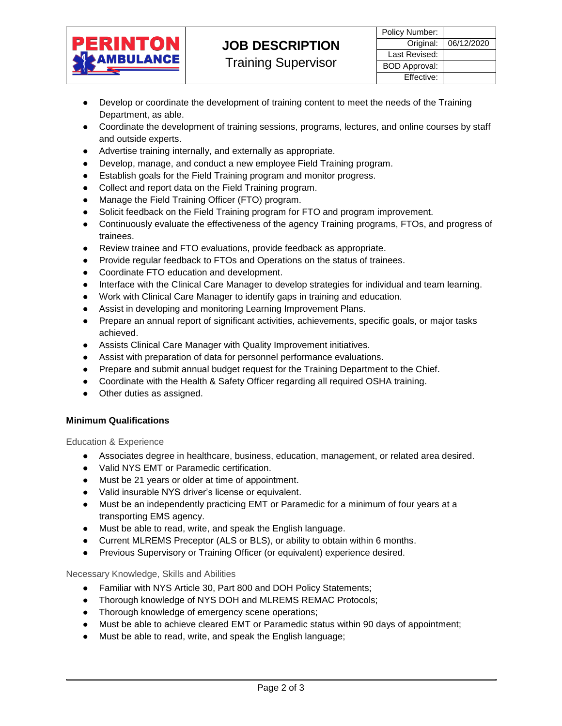

Training Supervisor

- Develop or coordinate the development of training content to meet the needs of the Training Department, as able.
- Coordinate the development of training sessions, programs, lectures, and online courses by staff and outside experts.
- Advertise training internally, and externally as appropriate.
- Develop, manage, and conduct a new employee Field Training program.
- Establish goals for the Field Training program and monitor progress.
- Collect and report data on the Field Training program.
- Manage the Field Training Officer (FTO) program.
- Solicit feedback on the Field Training program for FTO and program improvement.
- Continuously evaluate the effectiveness of the agency Training programs, FTOs, and progress of trainees.
- Review trainee and FTO evaluations, provide feedback as appropriate.
- Provide regular feedback to FTOs and Operations on the status of trainees.
- Coordinate FTO education and development.
- Interface with the Clinical Care Manager to develop strategies for individual and team learning.
- Work with Clinical Care Manager to identify gaps in training and education.
- Assist in developing and monitoring Learning Improvement Plans.
- Prepare an annual report of significant activities, achievements, specific goals, or major tasks achieved.
- Assists Clinical Care Manager with Quality Improvement initiatives.
- Assist with preparation of data for personnel performance evaluations.
- Prepare and submit annual budget request for the Training Department to the Chief.
- Coordinate with the Health & Safety Officer regarding all required OSHA training.
- Other duties as assigned.

# **Minimum Qualifications**

Education & Experience

- Associates degree in healthcare, business, education, management, or related area desired.
- Valid NYS EMT or Paramedic certification.
- Must be 21 years or older at time of appointment.
- Valid insurable NYS driver's license or equivalent.
- Must be an independently practicing EMT or Paramedic for a minimum of four years at a transporting EMS agency.
- Must be able to read, write, and speak the English language.
- Current MLREMS Preceptor (ALS or BLS), or ability to obtain within 6 months.
- Previous Supervisory or Training Officer (or equivalent) experience desired.

Necessary Knowledge, Skills and Abilities

- Familiar with NYS Article 30, Part 800 and DOH Policy Statements;
- Thorough knowledge of NYS DOH and MLREMS REMAC Protocols;
- Thorough knowledge of emergency scene operations;
- Must be able to achieve cleared EMT or Paramedic status within 90 days of appointment;
- Must be able to read, write, and speak the English language;